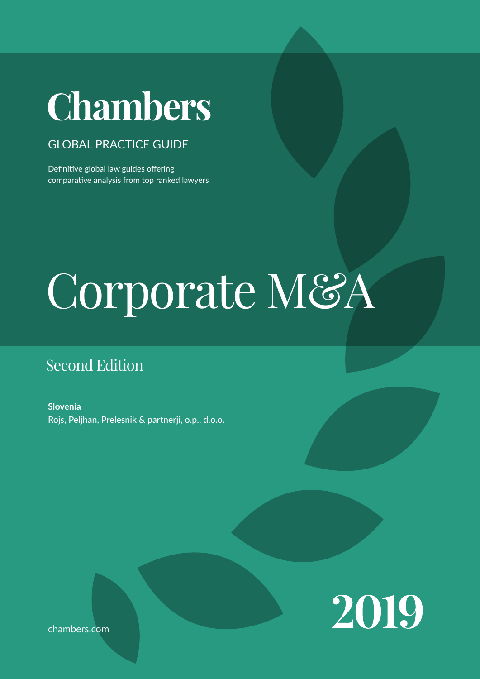# **Chambers**

# GLOBAL PRACTICE GUIDE

Definitive global law guides offering comparative analysis from top ranked lawyers

# $\blacksquare$  $max$   $\vert \mathbf{1} \rangle$ Corporate M&A

# Second Edition

**Slovenia** Rojs, Peljhan, Prelesnik & partnerji, o.p., d.o.o.



chambers.com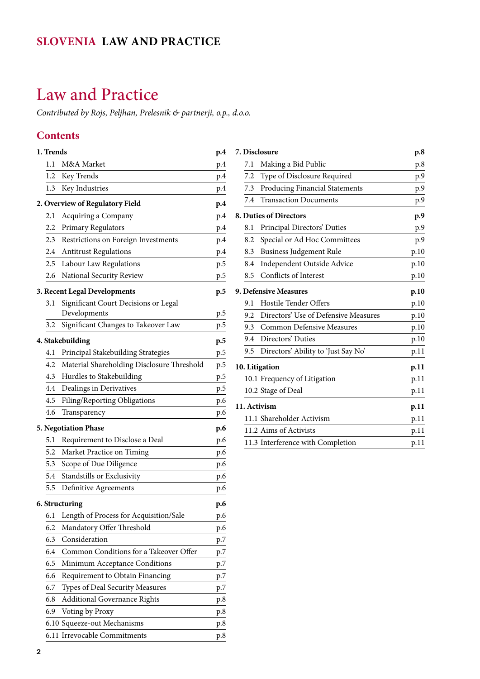# <span id="page-1-0"></span>Law and Practice

*Contributed by Rojs, Peljhan, Prelesnik & partnerji, o.p., d.o.o.*

# **Contents**

|                                 | 1. Trends |                                                     |     |
|---------------------------------|-----------|-----------------------------------------------------|-----|
|                                 | 1.1       | M&A Market                                          | p.4 |
|                                 | 1.2       | Key Trends                                          | p.4 |
|                                 | 1.3       | Key Industries                                      | p.4 |
| 2. Overview of Regulatory Field | p.4       |                                                     |     |
|                                 | 2.1       | Acquiring a Company                                 | p.4 |
|                                 | 2.2       | Primary Regulators                                  | p.4 |
|                                 | 2.3       | Restrictions on Foreign Investments                 | p.4 |
|                                 | 2.4       | <b>Antitrust Regulations</b>                        | p.4 |
|                                 | 2.5       | Labour Law Regulations                              | p.5 |
|                                 | 2.6       | National Security Review                            | p.5 |
|                                 |           | 3. Recent Legal Developments                        | p.5 |
|                                 | 3.1       | Significant Court Decisions or Legal                |     |
|                                 |           | Developments                                        | p.5 |
|                                 | 3.2       | Significant Changes to Takeover Law                 | p.5 |
|                                 |           | 4. Stakebuilding                                    | p.5 |
|                                 | 4.1       | Principal Stakebuilding Strategies                  | p.5 |
|                                 | 4.2       | Material Shareholding Disclosure Threshold          | p.5 |
|                                 | 4.3       | Hurdles to Stakebuilding                            | p.5 |
|                                 | 4.4       | Dealings in Derivatives                             | p.5 |
|                                 | 4.5       | Filing/Reporting Obligations                        | p.6 |
|                                 | 4.6       | Transparency                                        | p.6 |
|                                 |           | <b>5. Negotiation Phase</b>                         |     |
|                                 | 5.1       | Requirement to Disclose a Deal                      | p.6 |
|                                 | 5.2       |                                                     | p.6 |
|                                 | 5.3       | Market Practice on Timing<br>Scope of Due Diligence | p.6 |
|                                 | 5.4       | Standstills or Exclusivity                          | p.6 |
|                                 |           |                                                     | p.6 |
|                                 | 5.5       | Definitive Agreements                               | p.6 |
|                                 |           | 6. Structuring                                      | p.6 |
|                                 | 6.1       | Length of Process for Acquisition/Sale              | p.6 |
|                                 | 6.2       | Mandatory Offer Threshold                           | p.6 |
|                                 | 6.3       | Consideration                                       | p.7 |
|                                 | 6.4       | Common Conditions for a Takeover Offer              | p.7 |
|                                 | 6.5       | Minimum Acceptance Conditions                       | p.7 |
|                                 | 6.6       | Requirement to Obtain Financing                     | p.7 |
|                                 | 6.7       | Types of Deal Security Measures                     | p.7 |
|                                 | 6.8       | <b>Additional Governance Rights</b>                 | p.8 |
|                                 | 6.9       | Voting by Proxy                                     | p.8 |
|                                 |           | 6.10 Squeeze-out Mechanisms                         | p.8 |
|                                 |           | 6.11 Irrevocable Commitments                        | p.8 |

| 7. Disclosure         | p.8                                  |      |
|-----------------------|--------------------------------------|------|
| 7.1                   | Making a Bid Public                  | p.8  |
| 7.2                   | Type of Disclosure Required          | p.9  |
| 7.3                   | Producing Financial Statements       | p.9  |
| 7.4                   | <b>Transaction Documents</b>         | p.9  |
|                       | 8. Duties of Directors               | p.9  |
| 8.1                   | Principal Directors' Duties          | p.9  |
| 8.2                   | Special or Ad Hoc Committees         | p.9  |
| 8.3                   | <b>Business Judgement Rule</b>       | p.10 |
| 8.4                   | Independent Outside Advice           | p.10 |
| 8.5                   | Conflicts of Interest                | p.10 |
| 9. Defensive Measures | p.10                                 |      |
| 9.1                   | Hostile Tender Offers                | p.10 |
| 9.2                   | Directors' Use of Defensive Measures | p.10 |
| 9.3                   | <b>Common Defensive Measures</b>     | p.10 |
| 9.4                   | Directors' Duties                    | p.10 |
| 9.5                   | Directors' Ability to 'Just Say No'  | p.11 |
| 10. Litigation        | p.11                                 |      |
|                       | 10.1 Frequency of Litigation         | p.11 |
|                       | 10.2 Stage of Deal                   | p.11 |
|                       | 11. Activism                         | p.11 |
|                       | 11.1 Shareholder Activism            | p.11 |
|                       | 11.2 Aims of Activists               | p.11 |
|                       | 11.3 Interference with Completion    | p.11 |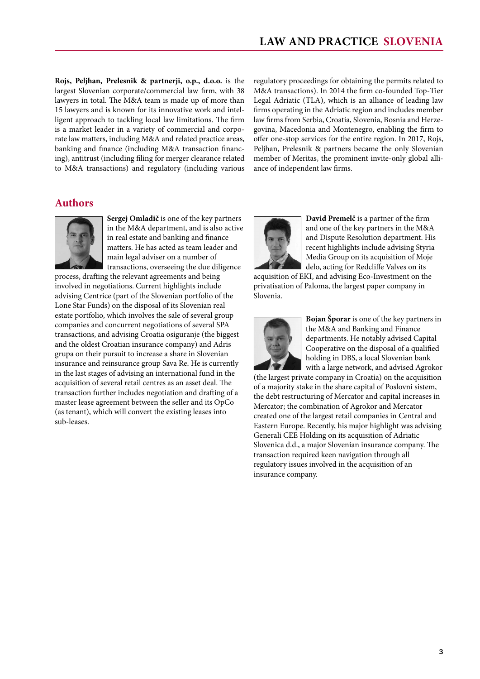**Rojs, Peljhan, Prelesnik & partnerji, o.p., d.o.o.** is the largest Slovenian corporate/commercial law firm, with 38 lawyers in total. The M&A team is made up of more than 15 lawyers and is known for its innovative work and intelligent approach to tackling local law limitations. The firm is a market leader in a variety of commercial and corporate law matters, including M&A and related practice areas, banking and finance (including M&A transaction financing), antitrust (including filing for merger clearance related to M&A transactions) and regulatory (including various

regulatory proceedings for obtaining the permits related to M&A transactions). In 2014 the firm co-founded Top-Tier Legal Adriatic (TLA), which is an alliance of leading law firms operating in the Adriatic region and includes member law firms from Serbia, Croatia, Slovenia, Bosnia and Herzegovina, Macedonia and Montenegro, enabling the firm to offer one-stop services for the entire region. In 2017, Rojs, Peljhan, Prelesnik & partners became the only Slovenian member of Meritas, the prominent invite-only global alliance of independent law firms.

# **Authors**



**Sergej Omladič** is one of the key partners in the M&A department, and is also active in real estate and banking and finance matters. He has acted as team leader and main legal adviser on a number of transactions, overseeing the due diligence

process, drafting the relevant agreements and being involved in negotiations. Current highlights include advising Centrice (part of the Slovenian portfolio of the Lone Star Funds) on the disposal of its Slovenian real estate portfolio, which involves the sale of several group companies and concurrent negotiations of several SPA transactions, and advising Croatia osiguranje (the biggest and the oldest Croatian insurance company) and Adris grupa on their pursuit to increase a share in Slovenian insurance and reinsurance group Sava Re. He is currently in the last stages of advising an international fund in the acquisition of several retail centres as an asset deal. The transaction further includes negotiation and drafting of a master lease agreement between the seller and its OpCo (as tenant), which will convert the existing leases into sub-leases.



**David Premelč** is a partner of the firm and one of the key partners in the M&A and Dispute Resolution department. His recent highlights include advising Styria Media Group on its acquisition of Moje delo, acting for Redcliffe Valves on its

acquisition of EKI, and advising Eco-Investment on the privatisation of Paloma, the largest paper company in Slovenia.



**Bojan Šporar** is one of the key partners in the M&A and Banking and Finance departments. He notably advised Capital Cooperative on the disposal of a qualified holding in DBS, a local Slovenian bank with a large network, and advised Agrokor

(the largest private company in Croatia) on the acquisition of a majority stake in the share capital of Poslovni sistem, the debt restructuring of Mercator and capital increases in Mercator; the combination of Agrokor and Mercator created one of the largest retail companies in Central and Eastern Europe. Recently, his major highlight was advising Generali CEE Holding on its acquisition of Adriatic Slovenica d.d., a major Slovenian insurance company. The transaction required keen navigation through all regulatory issues involved in the acquisition of an insurance company.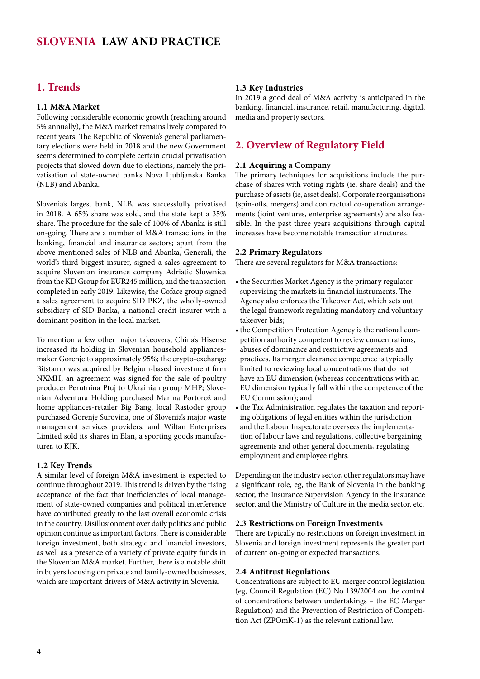# <span id="page-3-0"></span>**1. Trends**

#### **1.1 M&A Market**

Following considerable economic growth (reaching around 5% annually), the M&A market remains lively compared to recent years. The Republic of Slovenia's general parliamentary elections were held in 2018 and the new Government seems determined to complete certain crucial privatisation projects that slowed down due to elections, namely the privatisation of state-owned banks Nova Ljubljanska Banka (NLB) and Abanka.

Slovenia's largest bank, NLB, was successfully privatised in 2018. A 65% share was sold, and the state kept a 35% share. The procedure for the sale of 100% of Abanka is still on-going. There are a number of M&A transactions in the banking, financial and insurance sectors; apart from the above-mentioned sales of NLB and Abanka, Generali, the world's third biggest insurer, signed a sales agreement to acquire Slovenian insurance company Adriatic Slovenica from the KD Group for EUR245 million, and the transaction completed in early 2019. Likewise, the Coface group signed a sales agreement to acquire SID PKZ, the wholly-owned subsidiary of SID Banka, a national credit insurer with a dominant position in the local market.

To mention a few other major takeovers, China's Hisense increased its holding in Slovenian household appliancesmaker Gorenje to approximately 95%; the crypto-exchange Bitstamp was acquired by Belgium-based investment firm NXMH; an agreement was signed for the sale of poultry producer Perutnina Ptuj to Ukrainian group MHP; Slovenian Adventura Holding purchased Marina Portorož and home appliances-retailer Big Bang; local Rastoder group purchased Gorenje Surovina, one of Slovenia's major waste management services providers; and Wiltan Enterprises Limited sold its shares in Elan, a sporting goods manufacturer, to KJK.

#### **1.2 Key Trends**

A similar level of foreign M&A investment is expected to continue throughout 2019. This trend is driven by the rising acceptance of the fact that inefficiencies of local management of state-owned companies and political interference have contributed greatly to the last overall economic crisis in the country. Disillusionment over daily politics and public opinion continue as important factors. There is considerable foreign investment, both strategic and financial investors, as well as a presence of a variety of private equity funds in the Slovenian M&A market. Further, there is a notable shift in buyers focusing on private and family-owned businesses, which are important drivers of M&A activity in Slovenia.

#### **1.3 Key Industries**

In 2019 a good deal of M&A activity is anticipated in the banking, financial, insurance, retail, manufacturing, digital, media and property sectors.

# **2. Overview of Regulatory Field**

#### **2.1 Acquiring a Company**

The primary techniques for acquisitions include the purchase of shares with voting rights (ie, share deals) and the purchase of assets (ie, asset deals). Corporate reorganisations (spin-offs, mergers) and contractual co-operation arrangements (joint ventures, enterprise agreements) are also feasible. In the past three years acquisitions through capital increases have become notable transaction structures.

#### **2.2 Primary Regulators**

There are several regulators for M&A transactions:

- the Securities Market Agency is the primary regulator supervising the markets in financial instruments. The Agency also enforces the Takeover Act, which sets out the legal framework regulating mandatory and voluntary takeover bids;
- the Competition Protection Agency is the national competition authority competent to review concentrations, abuses of dominance and restrictive agreements and practices. Its merger clearance competence is typically limited to reviewing local concentrations that do not have an EU dimension (whereas concentrations with an EU dimension typically fall within the competence of the EU Commission); and
- the Tax Administration regulates the taxation and reporting obligations of legal entities within the jurisdiction and the Labour Inspectorate oversees the implementation of labour laws and regulations, collective bargaining agreements and other general documents, regulating employment and employee rights.

Depending on the industry sector, other regulators may have a significant role, eg, the Bank of Slovenia in the banking sector, the Insurance Supervision Agency in the insurance sector, and the Ministry of Culture in the media sector, etc.

#### **2.3 Restrictions on Foreign Investments**

There are typically no restrictions on foreign investment in Slovenia and foreign investment represents the greater part of current on-going or expected transactions.

#### **2.4 Antitrust Regulations**

Concentrations are subject to EU merger control legislation (eg, Council Regulation (EC) No 139/2004 on the control of concentrations between undertakings – the EC Merger Regulation) and the Prevention of Restriction of Competition Act (ZPOmK-1) as the relevant national law.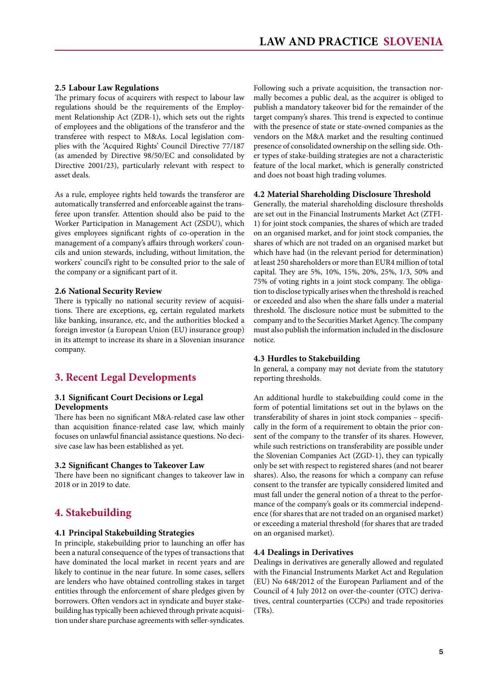#### <span id="page-4-0"></span>**2.5 Labour Law Regulations**

The primary focus of acquirers with respect to labour law regulations should be the requirements of the Employment Relationship Act (ZDR-1), which sets out the rights of employees and the obligations of the transferor and the transferee with respect to M&As. Local legislation complies with the 'Acquired Rights' Council Directive 77/187 (as amended by Directive 98/50/EC and consolidated by Directive 2001/23), particularly relevant with respect to asset deals.

As a rule, employee rights held towards the transferor are automatically transferred and enforceable against the transferee upon transfer. Attention should also be paid to the Worker Participation in Management Act (ZSDU), which gives employees significant rights of co-operation in the management of a company's affairs through workers' councils and union stewards, including, without limitation, the workers' council's right to be consulted prior to the sale of the company or a significant part of it.

#### **2.6 National Security Review**

There is typically no national security review of acquisitions. There are exceptions, eg, certain regulated markets like banking, insurance, etc, and the authorities blocked a foreign investor (a European Union (EU) insurance group) in its attempt to increase its share in a Slovenian insurance company.

# **3. Recent Legal Developments**

#### **3.1 Significant Court Decisions or Legal Developments**

There has been no significant M&A-related case law other than acquisition finance-related case law, which mainly focuses on unlawful financial assistance questions. No decisive case law has been established as yet.

#### **3.2 Significant Changes to Takeover Law**

There have been no significant changes to takeover law in 2018 or in 2019 to date.

# **4. Stakebuilding**

#### **4.1 Principal Stakebuilding Strategies**

In principle, stakebuilding prior to launching an offer has been a natural consequence of the types of transactions that have dominated the local market in recent years and are likely to continue in the near future. In some cases, sellers are lenders who have obtained controlling stakes in target entities through the enforcement of share pledges given by borrowers. Often vendors act in syndicate and buyer stakebuilding has typically been achieved through private acquisition under share purchase agreements with seller-syndicates.

Following such a private acquisition, the transaction normally becomes a public deal, as the acquirer is obliged to publish a mandatory takeover bid for the remainder of the target company's shares. This trend is expected to continue with the presence of state or state-owned companies as the vendors on the M&A market and the resulting continued presence of consolidated ownership on the selling side. Other types of stake-building strategies are not a characteristic feature of the local market, which is generally constricted and does not boast high trading volumes.

#### **4.2 Material Shareholding Disclosure Threshold**

Generally, the material shareholding disclosure thresholds are set out in the Financial Instruments Market Act (ZTFI-1) for joint stock companies, the shares of which are traded on an organised market, and for joint stock companies, the shares of which are not traded on an organised market but which have had (in the relevant period for determination) at least 250 shareholders or more than EUR4 million of total capital. They are 5%, 10%, 15%, 20%, 25%, 1/3, 50% and 75% of voting rights in a joint stock company. The obligation to disclose typically arises when the threshold is reached or exceeded and also when the share falls under a material threshold. The disclosure notice must be submitted to the company and to the Securities Market Agency. The company must also publish the information included in the disclosure notice.

#### **4.3 Hurdles to Stakebuilding**

In general, a company may not deviate from the statutory reporting thresholds.

An additional hurdle to stakebuilding could come in the form of potential limitations set out in the bylaws on the transferability of shares in joint stock companies – specifically in the form of a requirement to obtain the prior consent of the company to the transfer of its shares. However, while such restrictions on transferability are possible under the Slovenian Companies Act (ZGD-1), they can typically only be set with respect to registered shares (and not bearer shares). Also, the reasons for which a company can refuse consent to the transfer are typically considered limited and must fall under the general notion of a threat to the performance of the company's goals or its commercial independence (for shares that are not traded on an organised market) or exceeding a material threshold (for shares that are traded on an organised market).

#### **4.4 Dealings in Derivatives**

Dealings in derivatives are generally allowed and regulated with the Financial Instruments Market Act and Regulation (EU) No 648/2012 of the European Parliament and of the Council of 4 July 2012 on over-the-counter (OTC) derivatives, central counterparties (CCPs) and trade repositories (TRs).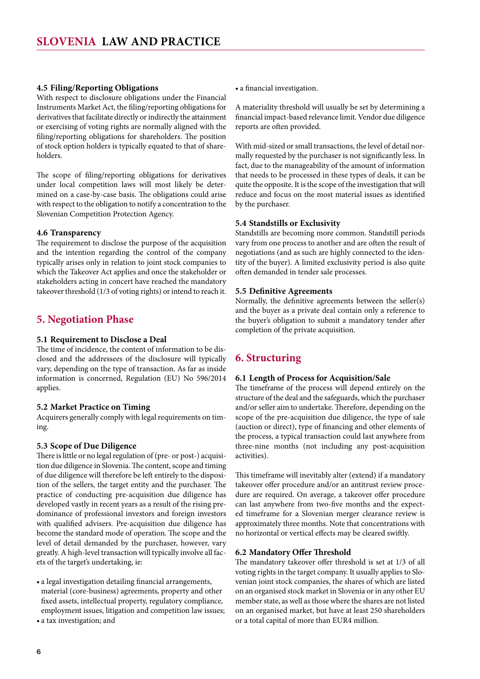#### <span id="page-5-0"></span>**4.5 Filing/Reporting Obligations**

With respect to disclosure obligations under the Financial Instruments Market Act, the filing/reporting obligations for derivatives that facilitate directly or indirectly the attainment or exercising of voting rights are normally aligned with the filing/reporting obligations for shareholders. The position of stock option holders is typically equated to that of shareholders.

The scope of filing/reporting obligations for derivatives under local competition laws will most likely be determined on a case-by-case basis. The obligations could arise with respect to the obligation to notify a concentration to the Slovenian Competition Protection Agency.

#### **4.6 Transparency**

The requirement to disclose the purpose of the acquisition and the intention regarding the control of the company typically arises only in relation to joint stock companies to which the Takeover Act applies and once the stakeholder or stakeholders acting in concert have reached the mandatory takeover threshold (1/3 of voting rights) or intend to reach it.

## **5. Negotiation Phase**

#### **5.1 Requirement to Disclose a Deal**

The time of incidence, the content of information to be disclosed and the addressees of the disclosure will typically vary, depending on the type of transaction. As far as inside information is concerned, Regulation (EU) No 596/2014 applies.

#### **5.2 Market Practice on Timing**

Acquirers generally comply with legal requirements on timing.

#### **5.3 Scope of Due Diligence**

There is little or no legal regulation of (pre- or post-) acquisition due diligence in Slovenia. The content, scope and timing of due diligence will therefore be left entirely to the disposition of the sellers, the target entity and the purchaser. The practice of conducting pre-acquisition due diligence has developed vastly in recent years as a result of the rising predominance of professional investors and foreign investors with qualified advisers. Pre-acquisition due diligence has become the standard mode of operation. The scope and the level of detail demanded by the purchaser, however, vary greatly. A high-level transaction will typically involve all facets of the target's undertaking, ie:

- a legal investigation detailing financial arrangements, material (core-business) agreements, property and other fixed assets, intellectual property, regulatory compliance, employment issues, litigation and competition law issues;
- a tax investigation; and

• a financial investigation.

A materiality threshold will usually be set by determining a financial impact-based relevance limit. Vendor due diligence reports are often provided.

With mid-sized or small transactions, the level of detail normally requested by the purchaser is not significantly less. In fact, due to the manageability of the amount of information that needs to be processed in these types of deals, it can be quite the opposite. It is the scope of the investigation that will reduce and focus on the most material issues as identified by the purchaser.

#### **5.4 Standstills or Exclusivity**

Standstills are becoming more common. Standstill periods vary from one process to another and are often the result of negotiations (and as such are highly connected to the identity of the buyer). A limited exclusivity period is also quite often demanded in tender sale processes.

#### **5.5 Definitive Agreements**

Normally, the definitive agreements between the seller(s) and the buyer as a private deal contain only a reference to the buyer's obligation to submit a mandatory tender after completion of the private acquisition.

# **6. Structuring**

#### **6.1 Length of Process for Acquisition/Sale**

The timeframe of the process will depend entirely on the structure of the deal and the safeguards, which the purchaser and/or seller aim to undertake. Therefore, depending on the scope of the pre-acquisition due diligence, the type of sale (auction or direct), type of financing and other elements of the process, a typical transaction could last anywhere from three-nine months (not including any post-acquisition activities).

This timeframe will inevitably alter (extend) if a mandatory takeover offer procedure and/or an antitrust review procedure are required. On average, a takeover offer procedure can last anywhere from two-five months and the expected timeframe for a Slovenian merger clearance review is approximately three months. Note that concentrations with no horizontal or vertical effects may be cleared swiftly.

#### **6.2 Mandatory Offer Threshold**

The mandatory takeover offer threshold is set at 1/3 of all voting rights in the target company. It usually applies to Slovenian joint stock companies, the shares of which are listed on an organised stock market in Slovenia or in any other EU member state, as well as those where the shares are not listed on an organised market, but have at least 250 shareholders or a total capital of more than EUR4 million.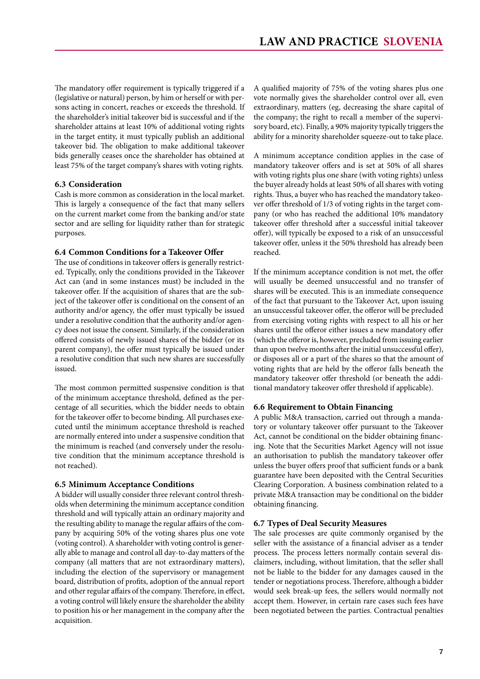<span id="page-6-0"></span>The mandatory offer requirement is typically triggered if a (legislative or natural) person, by him or herself or with persons acting in concert, reaches or exceeds the threshold. If the shareholder's initial takeover bid is successful and if the shareholder attains at least 10% of additional voting rights in the target entity, it must typically publish an additional takeover bid. The obligation to make additional takeover bids generally ceases once the shareholder has obtained at least 75% of the target company's shares with voting rights.

#### **6.3 Consideration**

Cash is more common as consideration in the local market. This is largely a consequence of the fact that many sellers on the current market come from the banking and/or state sector and are selling for liquidity rather than for strategic purposes.

#### **6.4 Common Conditions for a Takeover Offer**

The use of conditions in takeover offers is generally restricted. Typically, only the conditions provided in the Takeover Act can (and in some instances must) be included in the takeover offer. If the acquisition of shares that are the subject of the takeover offer is conditional on the consent of an authority and/or agency, the offer must typically be issued under a resolutive condition that the authority and/or agency does not issue the consent. Similarly, if the consideration offered consists of newly issued shares of the bidder (or its parent company), the offer must typically be issued under a resolutive condition that such new shares are successfully issued.

The most common permitted suspensive condition is that of the minimum acceptance threshold, defined as the percentage of all securities, which the bidder needs to obtain for the takeover offer to become binding. All purchases executed until the minimum acceptance threshold is reached are normally entered into under a suspensive condition that the minimum is reached (and conversely under the resolutive condition that the minimum acceptance threshold is not reached).

#### **6.5 Minimum Acceptance Conditions**

A bidder will usually consider three relevant control thresholds when determining the minimum acceptance condition threshold and will typically attain an ordinary majority and the resulting ability to manage the regular affairs of the company by acquiring 50% of the voting shares plus one vote (voting control). A shareholder with voting control is generally able to manage and control all day-to-day matters of the company (all matters that are not extraordinary matters), including the election of the supervisory or management board, distribution of profits, adoption of the annual report and other regular affairs of the company. Therefore, in effect, a voting control will likely ensure the shareholder the ability to position his or her management in the company after the acquisition.

A qualified majority of 75% of the voting shares plus one vote normally gives the shareholder control over all, even extraordinary, matters (eg, decreasing the share capital of the company; the right to recall a member of the supervisory board, etc). Finally, a 90% majority typically triggers the ability for a minority shareholder squeeze-out to take place.

A minimum acceptance condition applies in the case of mandatory takeover offers and is set at 50% of all shares with voting rights plus one share (with voting rights) unless the buyer already holds at least 50% of all shares with voting rights. Thus, a buyer who has reached the mandatory takeover offer threshold of 1/3 of voting rights in the target company (or who has reached the additional 10% mandatory takeover offer threshold after a successful initial takeover offer), will typically be exposed to a risk of an unsuccessful takeover offer, unless it the 50% threshold has already been reached.

If the minimum acceptance condition is not met, the offer will usually be deemed unsuccessful and no transfer of shares will be executed. This is an immediate consequence of the fact that pursuant to the Takeover Act, upon issuing an unsuccessful takeover offer, the offeror will be precluded from exercising voting rights with respect to all his or her shares until the offeror either issues a new mandatory offer (which the offeror is, however, precluded from issuing earlier than upon twelve months after the initial unsuccessful offer), or disposes all or a part of the shares so that the amount of voting rights that are held by the offeror falls beneath the mandatory takeover offer threshold (or beneath the additional mandatory takeover offer threshold if applicable).

#### **6.6 Requirement to Obtain Financing**

A public M&A transaction, carried out through a mandatory or voluntary takeover offer pursuant to the Takeover Act, cannot be conditional on the bidder obtaining financing. Note that the Securities Market Agency will not issue an authorisation to publish the mandatory takeover offer unless the buyer offers proof that sufficient funds or a bank guarantee have been deposited with the Central Securities Clearing Corporation. A business combination related to a private M&A transaction may be conditional on the bidder obtaining financing.

#### **6.7 Types of Deal Security Measures**

The sale processes are quite commonly organised by the seller with the assistance of a financial adviser as a tender process. The process letters normally contain several disclaimers, including, without limitation, that the seller shall not be liable to the bidder for any damages caused in the tender or negotiations process. Therefore, although a bidder would seek break-up fees, the sellers would normally not accept them. However, in certain rare cases such fees have been negotiated between the parties. Contractual penalties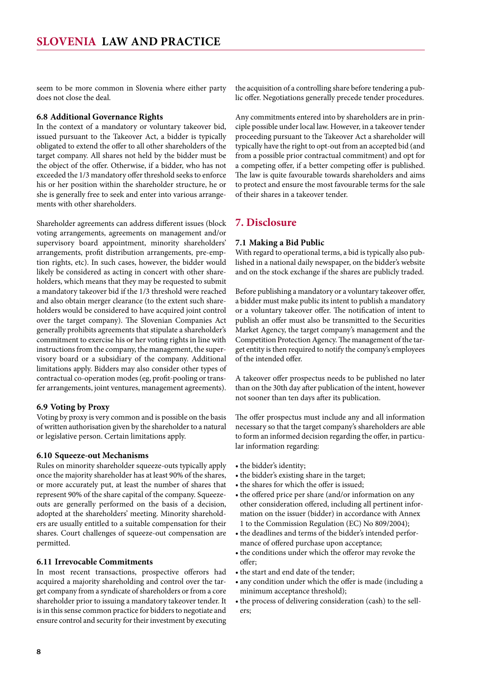<span id="page-7-0"></span>seem to be more common in Slovenia where either party does not close the deal.

#### **6.8 Additional Governance Rights**

In the context of a mandatory or voluntary takeover bid, issued pursuant to the Takeover Act, a bidder is typically obligated to extend the offer to all other shareholders of the target company. All shares not held by the bidder must be the object of the offer. Otherwise, if a bidder, who has not exceeded the 1/3 mandatory offer threshold seeks to enforce his or her position within the shareholder structure, he or she is generally free to seek and enter into various arrangements with other shareholders.

Shareholder agreements can address different issues (block voting arrangements, agreements on management and/or supervisory board appointment, minority shareholders' arrangements, profit distribution arrangements, pre-emption rights, etc). In such cases, however, the bidder would likely be considered as acting in concert with other shareholders, which means that they may be requested to submit a mandatory takeover bid if the 1/3 threshold were reached and also obtain merger clearance (to the extent such shareholders would be considered to have acquired joint control over the target company). The Slovenian Companies Act generally prohibits agreements that stipulate a shareholder's commitment to exercise his or her voting rights in line with instructions from the company, the management, the supervisory board or a subsidiary of the company. Additional limitations apply. Bidders may also consider other types of contractual co-operation modes (eg, profit-pooling or transfer arrangements, joint ventures, management agreements).

#### **6.9 Voting by Proxy**

Voting by proxy is very common and is possible on the basis of written authorisation given by the shareholder to a natural or legislative person. Certain limitations apply.

#### **6.10 Squeeze-out Mechanisms**

Rules on minority shareholder squeeze-outs typically apply once the majority shareholder has at least 90% of the shares, or more accurately put, at least the number of shares that represent 90% of the share capital of the company. Squeezeouts are generally performed on the basis of a decision, adopted at the shareholders' meeting. Minority shareholders are usually entitled to a suitable compensation for their shares. Court challenges of squeeze-out compensation are permitted.

#### **6.11 Irrevocable Commitments**

In most recent transactions, prospective offerors had acquired a majority shareholding and control over the target company from a syndicate of shareholders or from a core shareholder prior to issuing a mandatory takeover tender. It is in this sense common practice for bidders to negotiate and ensure control and security for their investment by executing the acquisition of a controlling share before tendering a public offer. Negotiations generally precede tender procedures.

Any commitments entered into by shareholders are in principle possible under local law. However, in a takeover tender proceeding pursuant to the Takeover Act a shareholder will typically have the right to opt-out from an accepted bid (and from a possible prior contractual commitment) and opt for a competing offer, if a better competing offer is published. The law is quite favourable towards shareholders and aims to protect and ensure the most favourable terms for the sale of their shares in a takeover tender.

# **7. Disclosure**

#### **7.1 Making a Bid Public**

With regard to operational terms, a bid is typically also published in a national daily newspaper, on the bidder's website and on the stock exchange if the shares are publicly traded.

Before publishing a mandatory or a voluntary takeover offer, a bidder must make public its intent to publish a mandatory or a voluntary takeover offer. The notification of intent to publish an offer must also be transmitted to the Securities Market Agency, the target company's management and the Competition Protection Agency. The management of the target entity is then required to notify the company's employees of the intended offer.

A takeover offer prospectus needs to be published no later than on the 30th day after publication of the intent, however not sooner than ten days after its publication.

The offer prospectus must include any and all information necessary so that the target company's shareholders are able to form an informed decision regarding the offer, in particular information regarding:

- the bidder's identity;
- the bidder's existing share in the target;
- the shares for which the offer is issued;
- the offered price per share (and/or information on any other consideration offered, including all pertinent information on the issuer (bidder) in accordance with Annex 1 to the Commission Regulation (EC) No 809/2004);
- the deadlines and terms of the bidder's intended performance of offered purchase upon acceptance;
- the conditions under which the offeror may revoke the offer;
- the start and end date of the tender;
- any condition under which the offer is made (including a minimum acceptance threshold);
- the process of delivering consideration (cash) to the sellers;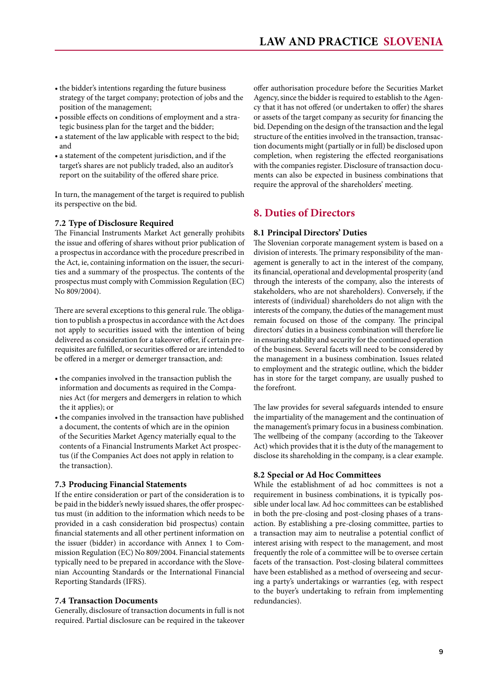- <span id="page-8-0"></span>• the bidder's intentions regarding the future business strategy of the target company; protection of jobs and the position of the management;
- • possible effects on conditions of employment and a strategic business plan for the target and the bidder;
- a statement of the law applicable with respect to the bid; and
- • a statement of the competent jurisdiction, and if the target's shares are not publicly traded, also an auditor's report on the suitability of the offered share price.

In turn, the management of the target is required to publish its perspective on the bid.

#### **7.2 Type of Disclosure Required**

The Financial Instruments Market Act generally prohibits the issue and offering of shares without prior publication of a prospectus in accordance with the procedure prescribed in the Act, ie, containing information on the issuer, the securities and a summary of the prospectus. The contents of the prospectus must comply with Commission Regulation (EC) No 809/2004).

There are several exceptions to this general rule. The obligation to publish a prospectus in accordance with the Act does not apply to securities issued with the intention of being delivered as consideration for a takeover offer, if certain prerequisites are fulfilled, or securities offered or are intended to be offered in a merger or demerger transaction, and:

- the companies involved in the transaction publish the information and documents as required in the Companies Act (for mergers and demergers in relation to which the it applies); or
- the companies involved in the transaction have published a document, the contents of which are in the opinion of the Securities Market Agency materially equal to the contents of a Financial Instruments Market Act prospectus (if the Companies Act does not apply in relation to the transaction).

#### **7.3 Producing Financial Statements**

If the entire consideration or part of the consideration is to be paid in the bidder's newly issued shares, the offer prospectus must (in addition to the information which needs to be provided in a cash consideration bid prospectus) contain financial statements and all other pertinent information on the issuer (bidder) in accordance with Annex 1 to Commission Regulation (EC) No 809/2004. Financial statements typically need to be prepared in accordance with the Slovenian Accounting Standards or the International Financial Reporting Standards (IFRS).

#### **7.4 Transaction Documents**

Generally, disclosure of transaction documents in full is not required. Partial disclosure can be required in the takeover

offer authorisation procedure before the Securities Market Agency, since the bidder is required to establish to the Agency that it has not offered (or undertaken to offer) the shares or assets of the target company as security for financing the bid. Depending on the design of the transaction and the legal structure of the entities involved in the transaction, transaction documents might (partially or in full) be disclosed upon completion, when registering the effected reorganisations with the companies register. Disclosure of transaction documents can also be expected in business combinations that require the approval of the shareholders' meeting.

# **8. Duties of Directors**

#### **8.1 Principal Directors' Duties**

The Slovenian corporate management system is based on a division of interests. The primary responsibility of the management is generally to act in the interest of the company, its financial, operational and developmental prosperity (and through the interests of the company, also the interests of stakeholders, who are not shareholders). Conversely, if the interests of (individual) shareholders do not align with the interests of the company, the duties of the management must remain focused on those of the company. The principal directors' duties in a business combination will therefore lie in ensuring stability and security for the continued operation of the business. Several facets will need to be considered by the management in a business combination. Issues related to employment and the strategic outline, which the bidder has in store for the target company, are usually pushed to the forefront.

The law provides for several safeguards intended to ensure the impartiality of the management and the continuation of the management's primary focus in a business combination. The wellbeing of the company (according to the Takeover Act) which provides that it is the duty of the management to disclose its shareholding in the company, is a clear example.

#### **8.2 Special or Ad Hoc Committees**

While the establishment of ad hoc committees is not a requirement in business combinations, it is typically possible under local law. Ad hoc committees can be established in both the pre-closing and post-closing phases of a transaction. By establishing a pre-closing committee, parties to a transaction may aim to neutralise a potential conflict of interest arising with respect to the management, and most frequently the role of a committee will be to oversee certain facets of the transaction. Post-closing bilateral committees have been established as a method of overseeing and securing a party's undertakings or warranties (eg, with respect to the buyer's undertaking to refrain from implementing redundancies).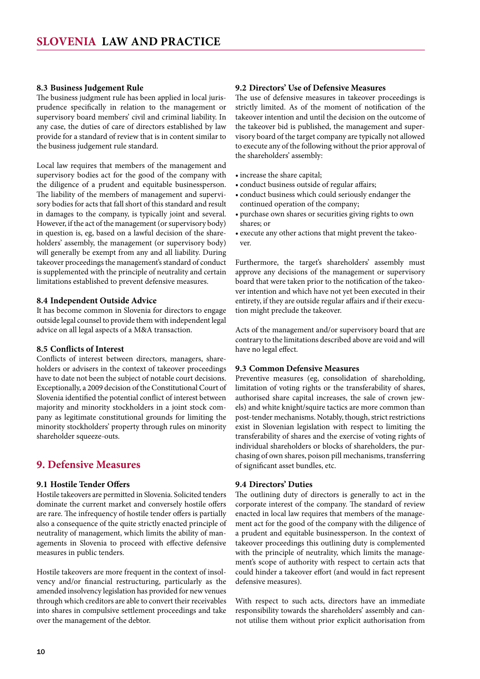#### <span id="page-9-0"></span>**8.3 Business Judgement Rule**

The business judgment rule has been applied in local jurisprudence specifically in relation to the management or supervisory board members' civil and criminal liability. In any case, the duties of care of directors established by law provide for a standard of review that is in content similar to the business judgement rule standard.

Local law requires that members of the management and supervisory bodies act for the good of the company with the diligence of a prudent and equitable businessperson. The liability of the members of management and supervisory bodies for acts that fall short of this standard and result in damages to the company, is typically joint and several. However, if the act of the management (or supervisory body) in question is, eg, based on a lawful decision of the shareholders' assembly, the management (or supervisory body) will generally be exempt from any and all liability. During takeover proceedings the management's standard of conduct is supplemented with the principle of neutrality and certain limitations established to prevent defensive measures.

#### **8.4 Independent Outside Advice**

It has become common in Slovenia for directors to engage outside legal counsel to provide them with independent legal advice on all legal aspects of a M&A transaction.

#### **8.5 Conflicts of Interest**

Conflicts of interest between directors, managers, shareholders or advisers in the context of takeover proceedings have to date not been the subject of notable court decisions. Exceptionally, a 2009 decision of the Constitutional Court of Slovenia identified the potential conflict of interest between majority and minority stockholders in a joint stock company as legitimate constitutional grounds for limiting the minority stockholders' property through rules on minority shareholder squeeze-outs.

#### **9. Defensive Measures**

#### **9.1 Hostile Tender Offers**

Hostile takeovers are permitted in Slovenia. Solicited tenders dominate the current market and conversely hostile offers are rare. The infrequency of hostile tender offers is partially also a consequence of the quite strictly enacted principle of neutrality of management, which limits the ability of managements in Slovenia to proceed with effective defensive measures in public tenders.

Hostile takeovers are more frequent in the context of insolvency and/or financial restructuring, particularly as the amended insolvency legislation has provided for new venues through which creditors are able to convert their receivables into shares in compulsive settlement proceedings and take over the management of the debtor.

#### **9.2 Directors' Use of Defensive Measures**

The use of defensive measures in takeover proceedings is strictly limited. As of the moment of notification of the takeover intention and until the decision on the outcome of the takeover bid is published, the management and supervisory board of the target company are typically not allowed to execute any of the following without the prior approval of the shareholders' assembly:

- increase the share capital;
- • conduct business outside of regular affairs;
- • conduct business which could seriously endanger the continued operation of the company;
- • purchase own shares or securities giving rights to own shares; or
- execute any other actions that might prevent the takeover.

Furthermore, the target's shareholders' assembly must approve any decisions of the management or supervisory board that were taken prior to the notification of the takeover intention and which have not yet been executed in their entirety, if they are outside regular affairs and if their execution might preclude the takeover.

Acts of the management and/or supervisory board that are contrary to the limitations described above are void and will have no legal effect.

#### **9.3 Common Defensive Measures**

Preventive measures (eg, consolidation of shareholding, limitation of voting rights or the transferability of shares, authorised share capital increases, the sale of crown jewels) and white knight/squire tactics are more common than post-tender mechanisms. Notably, though, strict restrictions exist in Slovenian legislation with respect to limiting the transferability of shares and the exercise of voting rights of individual shareholders or blocks of shareholders, the purchasing of own shares, poison pill mechanisms, transferring of significant asset bundles, etc.

#### **9.4 Directors' Duties**

The outlining duty of directors is generally to act in the corporate interest of the company. The standard of review enacted in local law requires that members of the management act for the good of the company with the diligence of a prudent and equitable businessperson. In the context of takeover proceedings this outlining duty is complemented with the principle of neutrality, which limits the management's scope of authority with respect to certain acts that could hinder a takeover effort (and would in fact represent defensive measures).

With respect to such acts, directors have an immediate responsibility towards the shareholders' assembly and cannot utilise them without prior explicit authorisation from